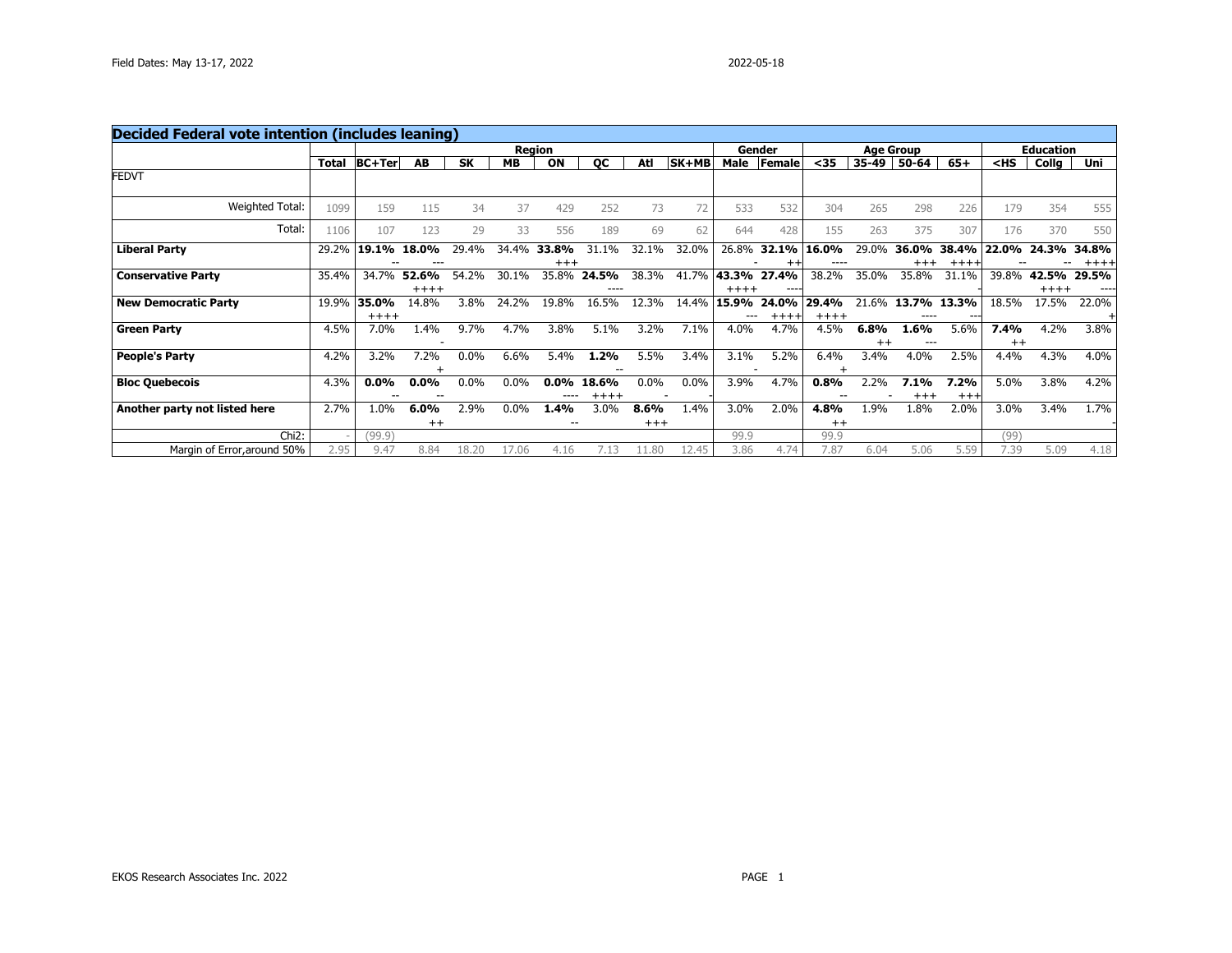| <b>Decided Federal vote intention (includes leaning)</b> |              |                 |                    |           |           |                   |                  |                  |       |                  |                 |                  |                 |                    |                  |                 |                  |       |
|----------------------------------------------------------|--------------|-----------------|--------------------|-----------|-----------|-------------------|------------------|------------------|-------|------------------|-----------------|------------------|-----------------|--------------------|------------------|-----------------|------------------|-------|
|                                                          |              |                 |                    |           |           | <b>Region</b>     |                  |                  |       |                  | Gender          |                  |                 | <b>Age Group</b>   |                  |                 | <b>Education</b> |       |
|                                                          | <b>Total</b> | <b>BC+Ter</b>   | AB                 | <b>SK</b> | <b>MB</b> | ON                | QC               | Atl              | SK+MB | Male             | Female          | $35$             | 35-49           | 50-64              | $65+$            | $<$ HS          | Collg            | Uni   |
| <b>FEDVT</b>                                             |              |                 |                    |           |           |                   |                  |                  |       |                  |                 |                  |                 |                    |                  |                 |                  |       |
| Weighted Total:                                          | 1099         | 159             | 115                | 34        | 37        | 429               | 252              | 73               | 72    | 533              | 532             | 304              | 265             | 298                | 226              | 179             | 354              | 555   |
| Total:                                                   | 1106         | 107             | 123                | 29        | 33        | 556               | 189              | 69               | 62    | 644              | 428             | 155              | 263             | 375                | 307              | 176             | 370              | 550   |
| <b>Liberal Party</b>                                     | 29.2%        | 19.1%           | 18.                | 29.4%     | 34.4%     | 33.8%<br>$^{+++}$ | 31.1%            | 32.1%            | 32.0% | 26.8%            | 32.1%           | 16.0%            | 29.0%           | 36.0%<br>$^{+++}$  | 38.4%<br>$+++++$ | 22.0%           | 24.3%            | 34.8% |
| <b>Conservative Party</b>                                | 35.4%        | 34.7%           | 52.6%<br>$+++++$   | 54.2%     | 30.1%     | 35.8%             | 24.5%<br>----    | 38.3%            | 41.7% | 43.3%<br>$+++++$ | 27.4%<br>----   | 38.2%            | 35.0%           | 35.8%              | 31.1%            | 39.8%           | 42.5%<br>$++++$  | 29.5% |
| <b>New Democratic Party</b>                              | 19.9%        | 35.0%<br>$++++$ | 14.8%              | 3.8%      | 24.2%     | 19.8%             | 16.5%            | 12.3%            | 14.4% | 15.9%<br>---     | 24.0%<br>$++++$ | 29.4%<br>$+++++$ | 21.6%           | 13.7%<br>$- - - -$ | 13.3%<br>$- - -$ | 18.5%           | 17.5%            | 22.0% |
| <b>Green Party</b>                                       | 4.5%         | 7.0%            | 1.4%               | 9.7%      | 4.7%      | 3.8%              | 5.1%             | 3.2%             | 7.1%  | 4.0%             | 4.7%            | 4.5%             | 6.8%<br>$^{++}$ | 1.6%               | 5.6%             | 7.4%<br>$^{++}$ | 4.2%             | 3.8%  |
| <b>People's Party</b>                                    | 4.2%         | 3.2%            | 7.2%               | 0.0%      | 6.6%      | 5.4%              | 1.2%             | 5.5%             | 3.4%  | 3.1%             | 5.2%            | 6.4%             | 3.4%            | 4.0%               | 2.5%             | 4.4%            | 4.3%             | 4.0%  |
| <b>Bloc Quebecois</b>                                    | 4.3%         | 0.0%<br>--      | $0.0\%$            | 0.0%      | 0.0%      | $0.0\%$           | 18.6%<br>$+++++$ | 0.0%             | 0.0%  | 3.9%             | 4.7%            | 0.8%             | 2.2%            | 7.1%<br>$^{++}$    | 7.2%<br>$^{+++}$ | 5.0%            | 3.8%             | 4.2%  |
| Another party not listed here                            | 2.7%         | 1.0%            | $6.0\%$<br>$^{++}$ | 2.9%      | 0.0%      | 1.4%<br>--        | 3.0%             | 8.6%<br>$^{+++}$ | 1.4%  | 3.0%             | 2.0%            | 4.8%<br>$^{++}$  | L.9%            | 1.8%               | 2.0%             | 3.0%            | 3.4%             | 1.7%  |
| $Chi2$ :                                                 |              | (99.9)          |                    |           |           |                   |                  |                  |       | 99.9             |                 | 99.9             |                 |                    |                  | (99)            |                  |       |
| Margin of Error, around 50%                              | 2.95         | 9.47            | 8.84               | 18.20     | 17.06     | 4.16              | 7.13             | 11.80            | 12.45 | 3.86             | 4.74            | 7.87             | 6.04            | 5.06               | 5.59             | 7.39            | 5.09             | 4.18  |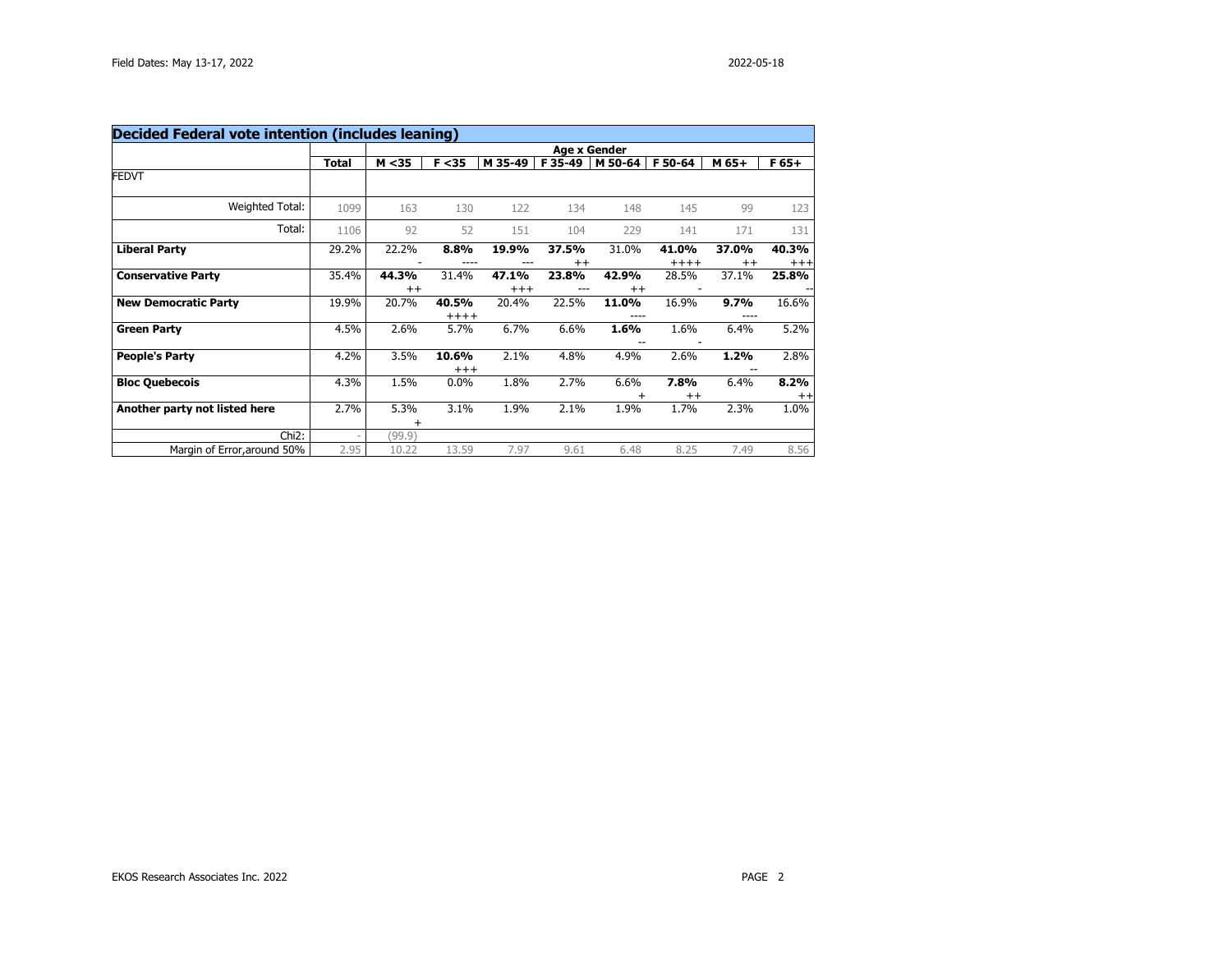|                               |              |                  |                   |                  |                  | <b>Age x Gender</b> |                  |                  |                   |
|-------------------------------|--------------|------------------|-------------------|------------------|------------------|---------------------|------------------|------------------|-------------------|
|                               | <b>Total</b> | M < 35           | F < 35            | M 35-49          | F 35-49          | M 50-64             | F 50-64          | M 65+            | $F65+$            |
| <b>FEDVT</b>                  |              |                  |                   |                  |                  |                     |                  |                  |                   |
| Weighted Total:               | 1099         | 163              | 130               | 122              | 134              | 148                 | 145              | 99               | 123               |
| Total:                        | 1106         | 92               | 52                | 151              | 104              | 229                 | 141              | 171              | 131               |
| <b>Liberal Party</b>          | 29.2%        | 22.2%            | 8.8%              | 19.9%            | 37.5%<br>$^{++}$ | 31.0%               | 41.0%<br>$+++++$ | 37.0%<br>$^{++}$ | 40.3%<br>$^{+++}$ |
| <b>Conservative Party</b>     | 35.4%        | 44.3%<br>$^{++}$ | 31.4%             | 47.1%<br>$^{++}$ | 23.8%            | 42.9%<br>$^{++}$    | 28.5%            | 37.1%            | 25.8%             |
| <b>New Democratic Party</b>   | 19.9%        | 20.7%            | 40.5%<br>$+++++$  | 20.4%            | 22.5%            | 11.0%               | 16.9%            | 9.7%             | 16.6%             |
| <b>Green Party</b>            | 4.5%         | 2.6%             | 5.7%              | 6.7%             | 6.6%             | 1.6%                | 1.6%             | 6.4%             | 5.2%              |
| <b>People's Party</b>         | 4.2%         | 3.5%             | 10.6%<br>$^{+++}$ | 2.1%             | 4.8%             | 4.9%                | 2.6%             | 1.2%             | 2.8%              |
| <b>Bloc Quebecois</b>         | 4.3%         | 1.5%             | 0.0%              | 1.8%             | 2.7%             | 6.6%                | 7.8%<br>$^{++}$  | 6.4%             | 8.2%<br>$^{++}$   |
| Another party not listed here | 2.7%         | 5.3%<br>+        | 3.1%              | 1.9%             | 2.1%             | 1.9%                | 1.7%             | 2.3%             | 1.0%              |
| Chi <sub>2</sub> :            |              | (99.9)           |                   |                  |                  |                     |                  |                  |                   |
| Margin of Error, around 50%   | 2.95         | 10.22            | 13.59             | 7.97             | 9.61             | 6.48                | 8.25             | 7.49             | 8.56              |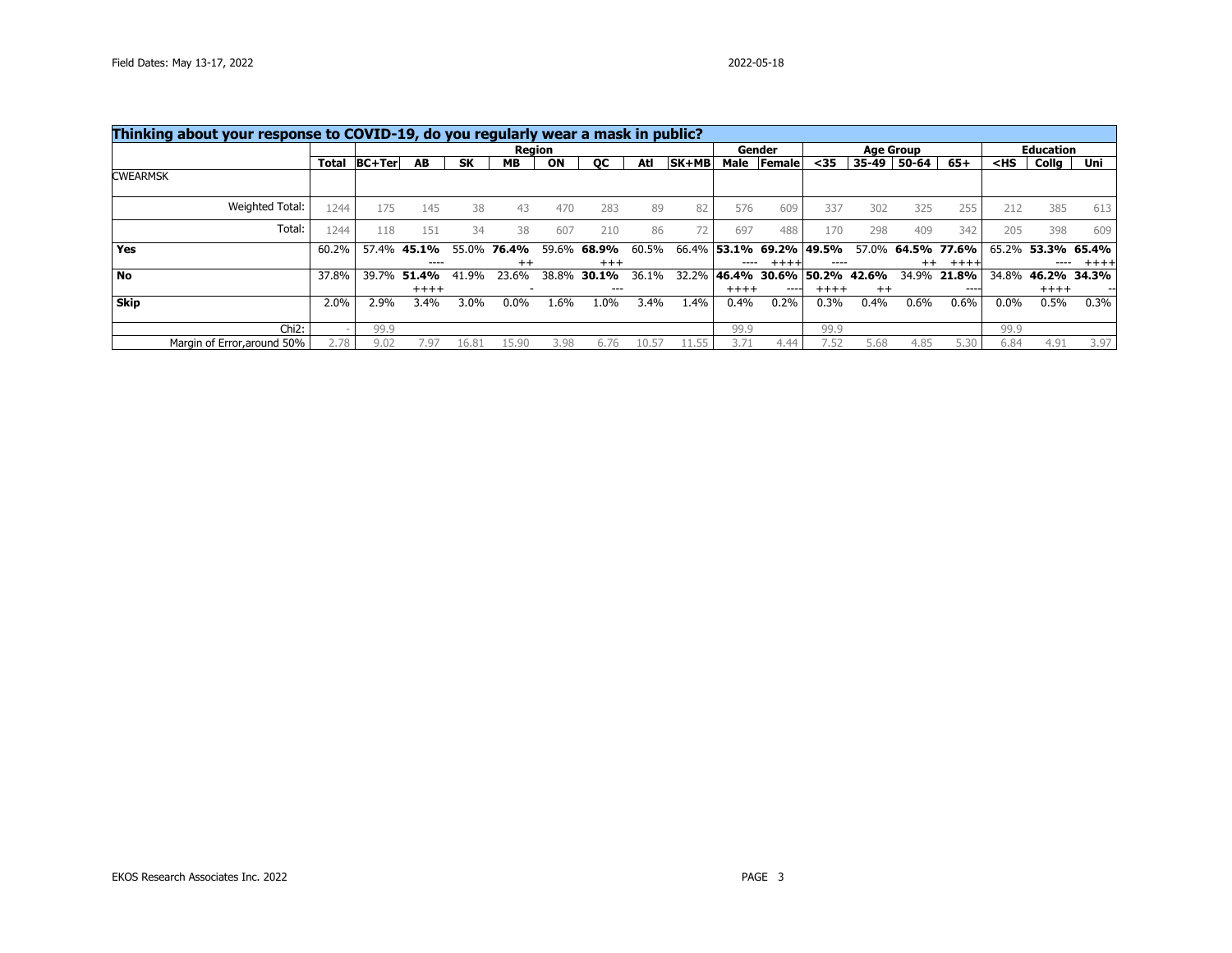| Thinking about your response to COVID-19, do you regularly wear a mask in public? |              |        |             |           |           |       |           |       |         |         |                         |                   |         |                  |             |         |                  |       |
|-----------------------------------------------------------------------------------|--------------|--------|-------------|-----------|-----------|-------|-----------|-------|---------|---------|-------------------------|-------------------|---------|------------------|-------------|---------|------------------|-------|
|                                                                                   |              |        |             |           | Region    |       |           |       |         |         | Gender                  |                   |         | <b>Age Group</b> |             |         | <b>Education</b> |       |
|                                                                                   | <b>Total</b> | BC+Ter | AB          | <b>SK</b> | <b>MB</b> | ON    | <b>OC</b> | Atl   | $SK+MB$ |         | Male Female             | $35$              | 35-49   | 50-64            | $65+$       | $<$ HS  | Collg            | Uni   |
| <b>CWEARMSK</b>                                                                   |              |        |             |           |           |       |           |       |         |         |                         |                   |         |                  |             |         |                  |       |
| Weighted Total:                                                                   | 1244         | 175    | 145         | 38        | 43        | 470   | 283       | 89    | 82      | 576     | 609                     | 337               | 302     | 325              | 255         | 212     | 385              | 613   |
| Total:                                                                            | 1244         | 118    | 151         | 34        | 38        | 607   | 210       | 86    | 72.     | 697     | 488                     | 170               | 298     | 409              | 342         | 205     | 398              | 609   |
| <b>Yes</b>                                                                        | 60.2%        |        | 57.4% 45.1% | 55.0%     | 76.4%     | 59.6% | 68.9%     | 60.5% |         |         | 66.4% 53.1% 69.2% 49.5% |                   | 57.0%   |                  | 64.5% 77.6% | 65.2%   | 53.3% 65.4%      |       |
|                                                                                   |              |        | ----        |           | $^{++}$   |       | $+++$     |       |         |         | $+++++$                 |                   |         | $^{++}$          | $+++$       |         |                  | ++++  |
| <b>No</b>                                                                         | 37.8%        | 39.7%  | 51.4%       | 41.9%     | 23.6%     | 38.8% | 30.1%     | 36.1% | 32.2%   | 46.4%   |                         | 30.6% 50.2% 42.6% |         |                  | 34.9% 21.8% | 34.8%   | 46.2%            | 34.3% |
|                                                                                   |              |        | $+++++$     |           |           |       |           |       |         | $+++++$ | $---$                   | $++++$            | $^{++}$ |                  | ----        |         | $+++++$          |       |
| <b>Skip</b>                                                                       | 2.0%         | 2.9%   | 3.4%        | $3.0\%$   | 0.0%      | 1.6%  | 1.0%      | 3.4%  | 1.4%    | 0.4%    | 0.2%                    | $0.3\%$           | 0.4%    | 0.6%             | 0.6%        | $0.0\%$ | 0.5%             | 0.3%  |
| $Chi2$ :                                                                          |              | 99.9   |             |           |           |       |           |       |         | 99.9    |                         | 99.9              |         |                  |             | 99.9    |                  |       |
| Margin of Error, around 50%                                                       | 2.78         | 9.02   | 7.97        | 16.81     | 15.90     | 3.98  | 6.76      | 10.5. |         | 3.71    | 4.44                    | 7.52              | 5.68    | 4.85             | 5.30        | 6.84    | 4.91             | 3.97  |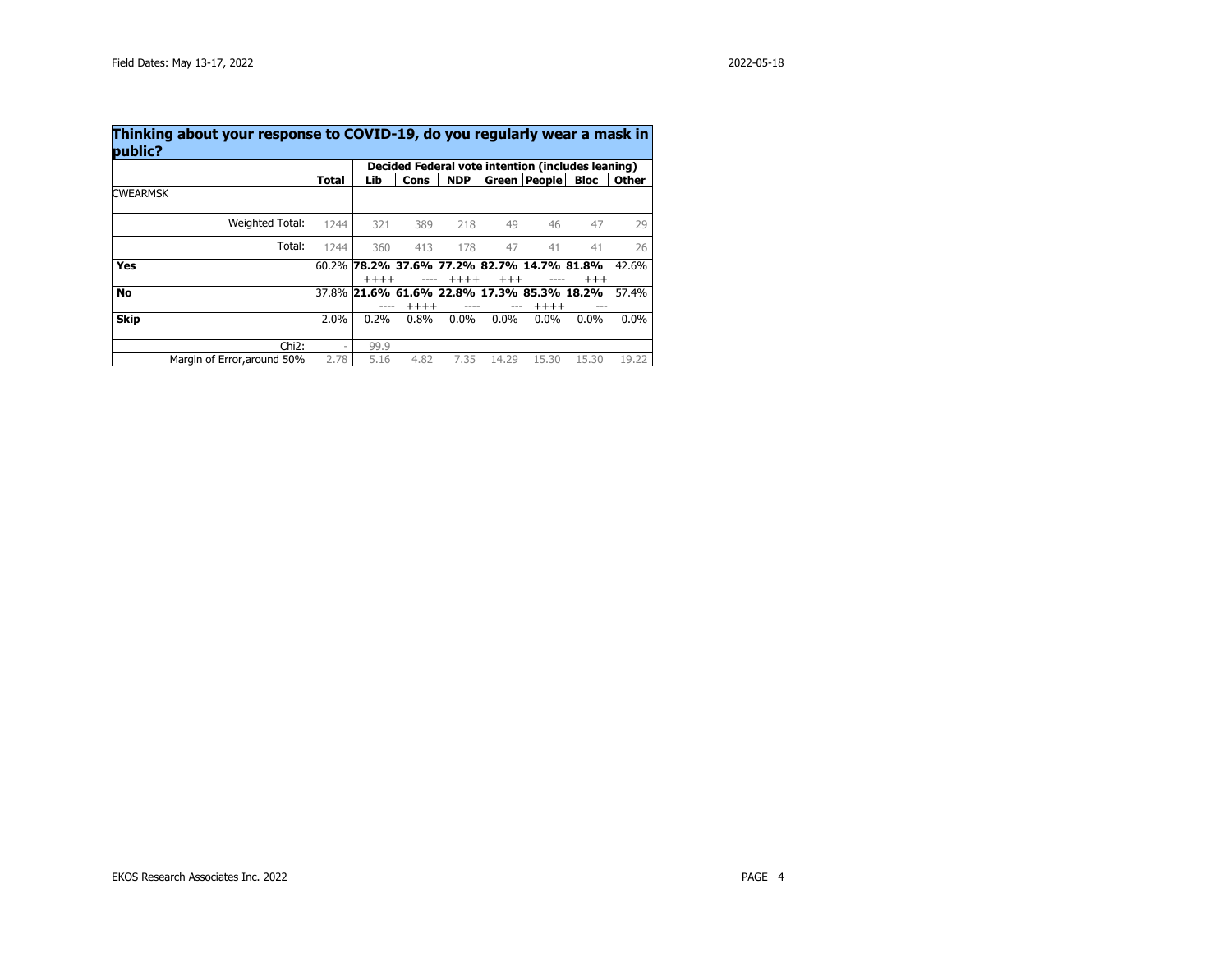| public?                     | Decided Federal vote intention (includes leaning) |         |         |            |          |                                                      |             |              |  |  |  |  |
|-----------------------------|---------------------------------------------------|---------|---------|------------|----------|------------------------------------------------------|-------------|--------------|--|--|--|--|
|                             | Total                                             | Lib     | Cons    | <b>NDP</b> |          | Green   People                                       | <b>Bloc</b> | <b>Other</b> |  |  |  |  |
| <b>CWEARMSK</b>             |                                                   |         |         |            |          |                                                      |             |              |  |  |  |  |
| Weighted Total:             | 1244                                              | 321     | 389     | 218        | 49       | 46                                                   | 47          | 29           |  |  |  |  |
| Total:                      | 1244                                              | 360     | 413     | 178        | 47       | 41                                                   | 41          | 26           |  |  |  |  |
| Yes                         |                                                   | $+++++$ |         | $+++++$    | $^{+++}$ | 60.2% 78.2% 37.6% 77.2% 82.7% 14.7% 81.8%            | $^{+++}$    | 42.6%        |  |  |  |  |
| No                          |                                                   |         | $+++++$ |            |          | 37.8% 21.6% 61.6% 22.8% 17.3% 85.3% 18.2%<br>$+++++$ |             | 57.4%        |  |  |  |  |
| <b>Skip</b>                 | 2.0%                                              | 0.2%    | 0.8%    | $0.0\%$    | $0.0\%$  | $0.0\%$                                              | $0.0\%$     | $0.0\%$      |  |  |  |  |
| $Chi2$ :                    | -                                                 | 99.9    |         |            |          |                                                      |             |              |  |  |  |  |
| Margin of Error, around 50% | 2.78                                              | 5.16    | 4.82    | 7.35       | 14.29    | 15.30                                                | 15.30       | 19.22        |  |  |  |  |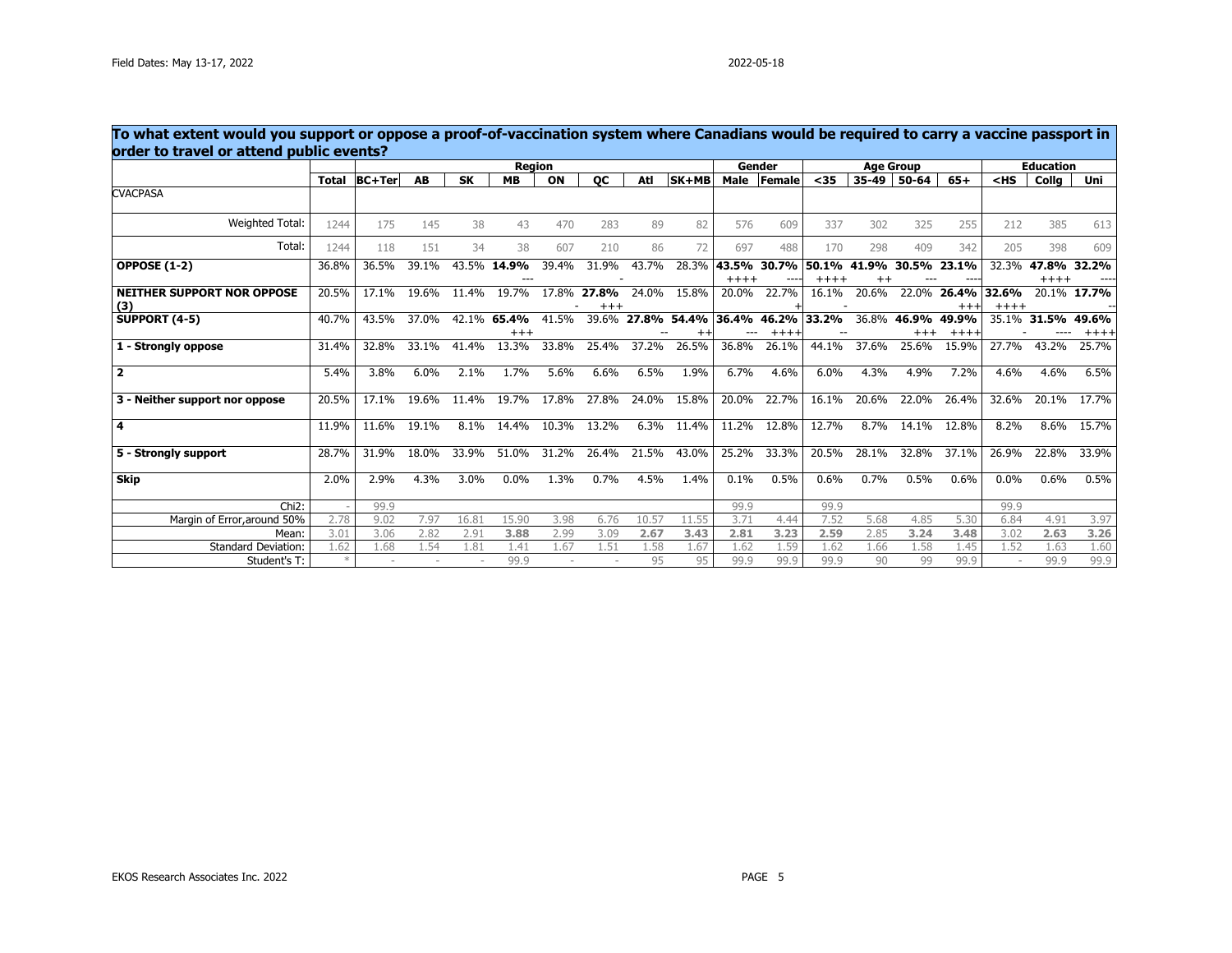| To what extent would you support or oppose a proof-of-vaccination system where Canadians would be required to carry a vaccine passport in<br>order to travel or attend public events? |       |               |       |           |                      |       |                   |       |                         |         |                |                  |                          |                   |                               |         |                  |               |
|---------------------------------------------------------------------------------------------------------------------------------------------------------------------------------------|-------|---------------|-------|-----------|----------------------|-------|-------------------|-------|-------------------------|---------|----------------|------------------|--------------------------|-------------------|-------------------------------|---------|------------------|---------------|
|                                                                                                                                                                                       |       |               |       |           | <b>Region</b>        |       |                   |       |                         |         | Gender         |                  |                          | <b>Age Group</b>  |                               |         | <b>Education</b> |               |
|                                                                                                                                                                                       | Total | <b>BC+Ter</b> | AB    | <b>SK</b> | <b>MB</b>            | ON    | QC                | Atl   | SK+MB                   | Male    | Female         | $35$             | $35 - 49$                | 50-64             | $65+$                         | $<$ HS  | Colla            | Uni           |
| <b>CVACPASA</b>                                                                                                                                                                       |       |               |       |           |                      |       |                   |       |                         |         |                |                  |                          |                   |                               |         |                  |               |
| Weighted Total:                                                                                                                                                                       | 1244  | 175           | 145   | 38        | 43                   | 470   | 283               | 89    | 82                      | 576     | 609            | 337              | 302                      | 325               | 255                           | 212     | 385              | 613           |
| Total:                                                                                                                                                                                | 1244  | 118           | 151   | 34        | 38                   | 607   | 210               | 86    | 72                      | 697     | 488            | 170              | 298                      | 409               | 342                           | 205     | 398              | 609           |
| <b>OPPOSE (1-2)</b>                                                                                                                                                                   | 36.8% | 36.5%         | 39.1% |           | 43.5% 14.9%          | 39.4% | 31.9%             | 43.7% | 28.3%                   | $+++++$ | 43.5% 30.7%    | 50.1%<br>$+++++$ | 41.9%<br>$^{\mathrm{+}}$ | 30.5% 23.1%       |                               | 32.3%   | 47.8%<br>$++++$  | 32.2%         |
| <b>NEITHER SUPPORT NOR OPPOSE</b><br>(3)                                                                                                                                              | 20.5% | 17.1%         | 19.6% | 11.4%     | 19.7%                | 17.8% | 27.8%<br>$^{+++}$ | 24.0% | 15.8%                   | 20.0%   | 22.7%          | 16.1%            | 20.6%                    |                   | 22.0% 26.4% 32.6%<br>$^{+++}$ | $+++++$ | 20.1%            | 17.7%         |
| <b>SUPPORT (4-5)</b>                                                                                                                                                                  | 40.7% | 43.5%         | 37.0% |           | 42.1% 65.4%<br>$+++$ | 41.5% |                   |       | 39.6% 27.8% 54.4% 36.4% |         | 46.2%<br>$+++$ | 33.2%            | 36.8%                    | 46.9%<br>$^{+++}$ | 49.9%<br>$++++$               | 35.1%   | 31.5%            | 49.6%<br>++++ |
| 1 - Strongly oppose                                                                                                                                                                   | 31.4% | 32.8%         | 33.1% | 41.4%     | 13.3%                | 33.8% | 25.4%             | 37.2% | 26.5%                   | 36.8%   | 26.1%          | 44.1%            | 37.6%                    | 25.6%             | 15.9%                         | 27.7%   | 43.2%            | 25.7%         |
| $\overline{\mathbf{2}}$                                                                                                                                                               | 5.4%  | 3.8%          | 6.0%  | 2.1%      | 1.7%                 | 5.6%  | 6.6%              | 6.5%  | 1.9%                    | 6.7%    | 4.6%           | 6.0%             | 4.3%                     | 4.9%              | 7.2%                          | 4.6%    | 4.6%             | 6.5%          |
| 3 - Neither support nor oppose                                                                                                                                                        | 20.5% | 17.1%         | 19.6% | 11.4%     | 19.7%                | 17.8% | 27.8%             | 24.0% | 15.8%                   | 20.0%   | 22.7%          | 16.1%            | 20.6%                    | 22.0%             | 26.4%                         | 32.6%   | 20.1%            | 17.7%         |
| $\overline{\mathbf{4}}$                                                                                                                                                               | 11.9% | 11.6%         | 19.1% | 8.1%      | 14.4%                | 10.3% | 13.2%             | 6.3%  | 11.4%                   | 11.2%   | 12.8%          | 12.7%            | 8.7%                     | 14.1%             | 12.8%                         | 8.2%    | 8.6%             | 15.7%         |
| 5 - Strongly support                                                                                                                                                                  | 28.7% | 31.9%         | 18.0% | 33.9%     | 51.0%                | 31.2% | 26.4%             | 21.5% | 43.0%                   | 25.2%   | 33.3%          | 20.5%            | 28.1%                    | 32.8%             | 37.1%                         | 26.9%   | 22.8%            | 33.9%         |
| Skip                                                                                                                                                                                  | 2.0%  | 2.9%          | 4.3%  | 3.0%      | 0.0%                 | 1.3%  | 0.7%              | 4.5%  | 1.4%                    | 0.1%    | 0.5%           | 0.6%             | 0.7%                     | 0.5%              | 0.6%                          | 0.0%    | 0.6%             | 0.5%          |
| $Chi2$ :                                                                                                                                                                              |       | 99.9          |       |           |                      |       |                   |       |                         | 99.9    |                | 99.9             |                          |                   |                               | 99.9    |                  |               |
| Margin of Error, around 50%                                                                                                                                                           | 2.78  | 9.02          | 7.97  | 16.81     | 15.90                | 3.98  | 6.76              | 10.57 | 11.55                   | 3.71    | 4.44           | 7.52             | 5.68                     | 4.85              | 5.30                          | 6.84    | 4.91             | 3.97          |
| Mean:                                                                                                                                                                                 | 3.01  | 3.06          | 2.82  | 2.91      | 3.88                 | 2.99  | 3.09              | 2.67  | 3.43                    | 2.81    | 3.23           | 2.59             | 2.85                     | 3.24              | 3.48                          | 3.02    | 2.63             | 3.26          |
| <b>Standard Deviation:</b>                                                                                                                                                            | 1.62  | 1.68          | 1.54  | 1.81      | 1.41                 | 1.67  | 1.51              | 1.58  | 1.67                    | 1.62    | 1.59           | 1.62             | 1.66                     | 1.58              | 1.45                          | 1.52    | 1.63             | 1.60          |
| Student's T:                                                                                                                                                                          |       |               |       |           | 99.9                 |       |                   | 95    | 95                      | 99.9    | 99.9           | 99.9             | 90                       | 99                | 99.9                          |         | 99.9             | 99.9          |